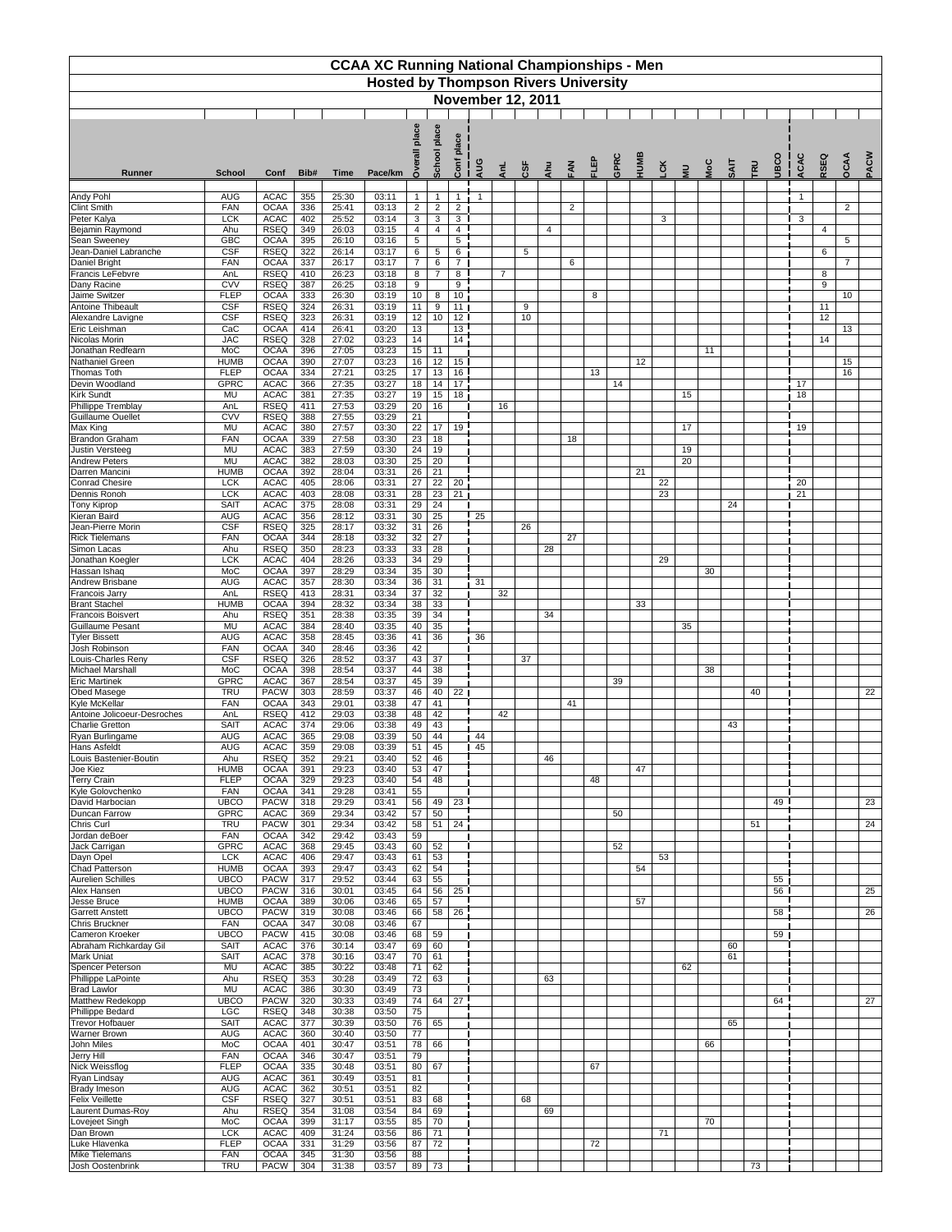| <b>CCAA XC Running National Championships - Men</b><br><b>Hosted by Thompson Rivers University</b> |                            |                            |            |                |                |                                  |                                   |                                    |     |                          |            |     |                |    |      |      |           |                |            |             |     |              |                       |      |                |      |
|----------------------------------------------------------------------------------------------------|----------------------------|----------------------------|------------|----------------|----------------|----------------------------------|-----------------------------------|------------------------------------|-----|--------------------------|------------|-----|----------------|----|------|------|-----------|----------------|------------|-------------|-----|--------------|-----------------------|------|----------------|------|
|                                                                                                    |                            |                            |            |                |                |                                  |                                   |                                    |     | <b>November 12, 2011</b> |            |     |                |    |      |      |           |                |            |             |     |              |                       |      |                |      |
|                                                                                                    |                            |                            |            |                |                |                                  |                                   |                                    |     |                          |            |     |                |    |      |      |           |                |            |             |     |              |                       |      |                |      |
|                                                                                                    |                            |                            |            |                |                | place                            | place                             | lace<br>ᇗ                          |     |                          |            |     |                |    |      |      |           |                |            |             |     |              |                       |      |                |      |
| <b>Runner</b>                                                                                      | <b>School</b>              | Conf                       | Bib#       | <b>Time</b>    | Pace/km        | $\delta$                         | <b>School</b>                     | Conf                               | AUG | AnL                      | <b>CSF</b> | Ahu | FAN            | 밑고 | GPRC | HUMB | <b>EX</b> | $\overline{a}$ | <b>NoC</b> | <b>SAIT</b> | TRU | <b>ODSCO</b> | ACAC                  | RSEQ | OCAA           | PACW |
| <b>Andy Pohl</b>                                                                                   | <b>AUG</b>                 | <b>ACAC</b>                | 355        | 25:30          | 03:11          | $\mathbf{1}$                     | $\mathbf{1}$                      |                                    |     |                          |            |     |                |    |      |      |           |                |            |             |     |              | -1                    |      |                |      |
| <b>Clint Smith</b>                                                                                 | <b>FAN</b>                 | <b>OCAA</b>                | 336        | 25:41          | 03:13          | $\overline{2}$                   | $\overline{2}$                    | $\overline{2}$                     |     |                          |            |     | $\overline{2}$ |    |      |      |           |                |            |             |     |              |                       |      | $\overline{2}$ |      |
| Peter Kalya<br>Bejamin Raymond                                                                     | <b>LCK</b><br>Ahu          | <b>ACAC</b><br><b>RSEQ</b> | 402<br>349 | 25:52<br>26:03 | 03:14<br>03:15 | 3 <sup>1</sup><br>$\overline{4}$ | 3<br>4                            | 3 <sup>1</sup><br>$\overline{4}$   |     |                          |            | 4   |                |    |      |      | 3         |                |            |             |     |              | 3                     | 4    |                |      |
| <b>Sean Sweeney</b>                                                                                | <b>GBC</b>                 | <b>OCAA</b>                | 395        | 26:10          | 03:16          | 5                                |                                   | 5                                  |     |                          |            |     |                |    |      |      |           |                |            |             |     |              |                       |      | 5              |      |
| Jean-Daniel Labranche<br>Daniel Bright                                                             | <b>CSF</b><br><b>FAN</b>   | <b>RSEQ</b><br><b>OCAA</b> | 322<br>337 | 26:14<br>26:17 | 03:17<br>03:17 | 6<br>$\overline{7}$              | $5\phantom{.0}$<br>$6\phantom{1}$ | 6<br>7 <sup>1</sup>                |     |                          | 5          |     | 6              |    |      |      |           |                |            |             |     |              |                       | 6    | $\overline{7}$ |      |
| Francis LeFebvre                                                                                   | AnL                        | <b>RSEQ</b>                | 410        | 26:23          | 03:18          | 8                                | $\overline{7}$                    | 8                                  |     | $\overline{7}$           |            |     |                |    |      |      |           |                |            |             |     |              |                       | 8    |                |      |
| Dany Racine<br>Jaime Switzer                                                                       | <b>CVV</b><br><b>FLEP</b>  | <b>RSEQ</b><br><b>OCAA</b> | 387<br>333 | 26:25<br>26:30 | 03:18<br>03:19 | 9<br>10 <sup>°</sup>             | 8                                 | 9<br>10                            |     |                          |            |     |                | 8  |      |      |           |                |            |             |     |              |                       | 9    | 10             |      |
| <b>Antoine Thibeault</b>                                                                           | <b>CSF</b>                 | <b>RSEQ</b>                | 324        | 26:31          | 03:19          | 11                               | 9                                 | 11                                 |     |                          | 9          |     |                |    |      |      |           |                |            |             |     |              |                       | 11   |                |      |
| Alexandre Lavigne<br>Eric Leishman                                                                 | <b>CSF</b><br>CaC          | <b>RSEQ</b><br><b>OCAA</b> | 323<br>414 | 26:31<br>26:41 | 03:19<br>03:20 | 12<br>13                         | 10                                | 12 <sup>1</sup><br>$\overline{13}$ |     |                          | 10         |     |                |    |      |      |           |                |            |             |     |              |                       | 12   | 13             |      |
| Nicolas Morin                                                                                      | <b>JAC</b>                 | <b>RSEQ</b>                | 328        | 27:02          | 03:23          | 14                               |                                   | $\overline{14}$                    |     |                          |            |     |                |    |      |      |           |                |            |             |     |              |                       | 14   |                |      |
| Jonathan Redfearn<br><b>Nathaniel Green</b>                                                        | MoC<br><b>HUMB</b>         | <b>OCAA</b><br><b>OCAA</b> | 396<br>390 | 27:05<br>27:07 | 03:23<br>03:23 | 15<br>16                         | 11<br>12                          | 15 <sub>1</sub>                    |     |                          |            |     |                |    |      | 12   |           |                | 11         |             |     |              |                       |      | 15             |      |
| <b>Thomas Toth</b>                                                                                 | <b>FLEP</b>                | <b>OCAA</b>                | 334        | 27:21          | 03:25          | 17                               | 13                                | 16                                 |     |                          |            |     |                | 13 |      |      |           |                |            |             |     |              |                       |      | 16             |      |
| Devin Woodland<br>Kirk Sundt                                                                       | <b>GPRC</b><br><b>MU</b>   | <b>ACAC</b><br><b>ACAC</b> | 366<br>381 | 27:35<br>27:35 | 03:27<br>03:27 | 18<br>19                         | 14<br>15                          | $\overline{17}$<br>18 <sup>1</sup> |     |                          |            |     |                |    | 14   |      |           | 15             |            |             |     |              | 17<br>18              |      |                |      |
| Phillippe Tremblay                                                                                 | AnL                        | <b>RSEQ</b>                | 411        | 27:53          | 03:29          | 20                               | 16                                |                                    |     | 16                       |            |     |                |    |      |      |           |                |            |             |     |              |                       |      |                |      |
| Guillaume Ouellet<br>Max King                                                                      | <b>CVV</b><br><b>MU</b>    | <b>RSEQ</b><br><b>ACAC</b> | 388<br>380 | 27:55<br>27:57 | 03:29<br>03:30 | 21<br>22                         | 17                                | 19                                 |     |                          |            |     |                |    |      |      |           | 17             |            |             |     |              | 19                    |      |                |      |
| Brandon Graham                                                                                     | <b>FAN</b>                 | <b>OCAA</b>                | 339        | 27:58          | 03:30          | 23                               | 18                                |                                    |     |                          |            |     | 18             |    |      |      |           |                |            |             |     |              |                       |      |                |      |
| Justin Versteeg<br><b>Andrew Peters</b>                                                            | <b>MU</b><br><b>MU</b>     | <b>ACAC</b><br><b>ACAC</b> | 383<br>382 | 27:59<br>28:03 | 03:30<br>03:30 | 24<br>25                         | 19<br>20                          |                                    |     |                          |            |     |                |    |      |      |           | 19<br>20       |            |             |     |              |                       |      |                |      |
| Darren Mancini                                                                                     | <b>HUMB</b>                | <b>OCAA</b>                | 392        | 28:04          | 03:31          | 26                               | 21                                |                                    |     |                          |            |     |                |    |      | 21   |           |                |            |             |     |              |                       |      |                |      |
| <b>Conrad Chesire</b><br>Dennis Ronoh                                                              | <b>LCK</b><br><b>LCK</b>   | <b>ACAC</b><br><b>ACAC</b> | 405<br>403 | 28:06<br>28:08 | 03:31<br>03:31 | 27<br>28                         | $\overline{22}$<br>23             | 20<br>21                           |     |                          |            |     |                |    |      |      | 22<br>23  |                |            |             |     |              | $\overline{20}$<br>21 |      |                |      |
| <b>Tony Kiprop</b>                                                                                 | <b>SAIT</b>                | <b>ACAC</b>                | 375        | 28:08          | 03:31          | 29                               | 24                                |                                    |     |                          |            |     |                |    |      |      |           |                |            | 24          |     |              |                       |      |                |      |
| Kieran Baird<br>Jean-Pierre Morin                                                                  | <b>AUG</b><br><b>CSF</b>   | <b>ACAC</b><br><b>RSEQ</b> | 356<br>325 | 28:12<br>28:17 | 03:31<br>03:32 | 30<br>31                         | 25<br>$\overline{26}$             |                                    | 25  |                          | 26         |     |                |    |      |      |           |                |            |             |     |              |                       |      |                |      |
| <b>Rick Tielemans</b>                                                                              | <b>FAN</b>                 | <b>OCAA</b>                | 344        | 28:18          | 03:32          | 32                               | $\overline{27}$                   |                                    |     |                          |            |     | 27             |    |      |      |           |                |            |             |     |              |                       |      |                |      |
| Simon Lacas<br>Jonathan Koegler                                                                    | Ahu<br><b>LCK</b>          | <b>RSEQ</b><br><b>ACAC</b> | 350<br>404 | 28:23<br>28:26 | 03:33<br>03:33 | 33<br>34                         | 28<br>29                          |                                    |     |                          |            | 28  |                |    |      |      | 29        |                |            |             |     |              |                       |      |                |      |
| Hassan Ishaq                                                                                       | MoC                        | <b>OCAA</b>                | 397        | 28:29          | 03:34          | 35                               | 30                                |                                    |     |                          |            |     |                |    |      |      |           |                | 30         |             |     |              |                       |      |                |      |
| Andrew Brisbane<br><b>Francois Jarry</b>                                                           | <b>AUG</b><br>AnL          | <b>ACAC</b><br><b>RSEQ</b> | 357<br>413 | 28:30<br>28:31 | 03:34<br>03:34 | 36<br>37                         | 31<br>32                          |                                    | 31  | 32                       |            |     |                |    |      |      |           |                |            |             |     |              |                       |      |                |      |
| <b>Brant Stachel</b>                                                                               | <b>HUMB</b>                | <b>OCAA</b>                | 394        | 28:32          | 03:34          | 38                               | 33                                |                                    |     |                          |            |     |                |    |      | 33   |           |                |            |             |     |              |                       |      |                |      |
| <b>Francois Boisvert</b><br><b>Guillaume Pesant</b>                                                | Ahu<br><b>MU</b>           | <b>RSEQ</b><br><b>ACAC</b> | 351<br>384 | 28:38<br>28:40 | 03:35<br>03:35 | 39<br>40                         | $\overline{34}$<br>35             |                                    |     |                          |            | 34  |                |    |      |      |           | 35             |            |             |     |              |                       |      |                |      |
| <b>Tyler Bissett</b>                                                                               | <b>AUG</b>                 | <b>ACAC</b>                | 358        | 28:45          | 03:36          | 41                               | 36                                |                                    | 36  |                          |            |     |                |    |      |      |           |                |            |             |     |              |                       |      |                |      |
| Josh Robinson<br>Louis-Charles Reny                                                                | FAN<br><b>CSF</b>          | <b>OCAA</b><br><b>RSEQ</b> | 340<br>326 | 28:46<br>28:52 | 03:36<br>03:37 | 42<br>43                         | 37                                |                                    |     |                          | 37         |     |                |    |      |      |           |                |            |             |     |              |                       |      |                |      |
| Michael Marshall                                                                                   | MoC                        | <b>OCAA</b>                | 398        | 28:54          | 03:37          | 44                               | 38                                |                                    |     |                          |            |     |                |    |      |      |           |                | 38         |             |     |              |                       |      |                |      |
| <b>Eric Martinek</b><br>Obed Masege                                                                | <b>GPRC</b><br><b>TRU</b>  | <b>ACAC</b><br><b>PACW</b> | 367<br>303 | 28:54<br>28:59 | 03:37<br>03:37 | 45<br>46                         | 39<br>40                          | $22$ j                             |     |                          |            |     |                |    | 39   |      |           |                |            |             | 40  |              |                       |      |                | 22   |
| Kyle McKellar                                                                                      | <b>FAN</b>                 | <b>OCAA</b>                | 343        | 29:01          | 03:38          | 47                               | 41                                |                                    |     |                          |            |     | 41             |    |      |      |           |                |            |             |     |              |                       |      |                |      |
| Antoine Jolicoeur-Desroches<br>Charlie Gretton                                                     | AnL<br><b>SAIT</b>         | <b>RSEQ</b><br><b>ACAC</b> | 412<br>374 | 29:03<br>29:06 | 03:38<br>03:38 | 48<br>49                         | 42<br>43                          |                                    |     | 42                       |            |     |                |    |      |      |           |                |            | 43          |     |              |                       |      |                |      |
| Ryan Burlingame                                                                                    | <b>AUG</b>                 | <b>ACAC</b>                | 365        | 29:08          | 03:39          | 50                               | 44                                |                                    | 44  |                          |            |     |                |    |      |      |           |                |            |             |     |              |                       |      |                |      |
| Hans Asfeldt<br>Louis Bastenier-Boutin                                                             | <b>AUG</b><br>Ahu          | <b>ACAC</b><br><b>RSEQ</b> | 359<br>352 | 29:08<br>29:21 | 03:39<br>03:40 | 51<br>52                         | 45<br>46                          |                                    | 45  |                          |            | 46  |                |    |      |      |           |                |            |             |     |              |                       |      |                |      |
| Joe Kiez                                                                                           | <b>HUMB</b>                | <b>OCAA</b>                | 391        | 29:23          | 03:40          | 53                               | $\overline{47}$                   |                                    |     |                          |            |     |                |    |      | 47   |           |                |            |             |     |              |                       |      |                |      |
| <b>Terry Crain</b><br>Kyle Golovchenko                                                             | <b>FLEP</b><br><b>FAN</b>  | <b>OCAA</b><br><b>OCAA</b> | 329<br>341 | 29:23<br>29:28 | 03:40<br>03:41 | 54<br>55                         | 48                                |                                    |     |                          |            |     |                | 48 |      |      |           |                |            |             |     |              |                       |      |                |      |
| David Harbocian                                                                                    | <b>UBCO</b>                | <b>PACW</b>                | 318        | 29:29          | 03:41          | 56                               | 49                                | 23 <sup>1</sup>                    |     |                          |            |     |                |    |      |      |           |                |            |             |     | 49           |                       |      |                | 23   |
| Duncan Farrow<br>Chris Curl                                                                        | <b>GPRC</b><br><b>TRU</b>  | <b>ACAC</b><br><b>PACW</b> | 369<br>301 | 29:34<br>29:34 | 03:42<br>03:42 | 57<br>58                         | 50<br>51                          | 24                                 |     |                          |            |     |                |    | 50   |      |           |                |            |             | 51  |              |                       |      |                | 24   |
| Jordan deBoer                                                                                      | FAN                        | <b>OCAA</b>                | 342        | 29:42          | 03:43          | 59                               |                                   |                                    |     |                          |            |     |                |    |      |      |           |                |            |             |     |              |                       |      |                |      |
| Jack Carrigan<br>Dayn Opel                                                                         | <b>GPRC</b><br><b>LCK</b>  | <b>ACAC</b><br><b>ACAC</b> | 368<br>406 | 29:45<br>29:47 | 03:43<br>03:43 | 60<br>61                         | 52<br>53                          |                                    |     |                          |            |     |                |    | 52   |      | 53        |                |            |             |     |              |                       |      |                |      |
| <b>Chad Patterson</b>                                                                              | <b>HUMB</b>                | <b>OCAA</b>                | 393        | 29:47          | 03:43          | 62                               | 54                                |                                    |     |                          |            |     |                |    |      | 54   |           |                |            |             |     |              |                       |      |                |      |
| <b>Aurelien Schilles</b><br>Alex Hansen                                                            | <b>UBCO</b><br><b>UBCO</b> | <b>PACW</b><br><b>PACW</b> | 317<br>316 | 29:52<br>30:01 | 03:44<br>03:45 | 63<br>64                         | 55<br>56                          | 25 <sub>1</sub>                    |     |                          |            |     |                |    |      |      |           |                |            |             |     | 55<br>56 l   |                       |      |                | 25   |
| Jesse Bruce                                                                                        | <b>HUMB</b>                | <b>OCAA</b>                | 389        | 30:06          | 03:46          | 65                               | $\overline{57}$                   |                                    |     |                          |            |     |                |    |      | 57   |           |                |            |             |     |              |                       |      |                |      |
| <b>Garrett Anstett</b><br><b>Chris Bruckner</b>                                                    | <b>UBCO</b><br><b>FAN</b>  | <b>PACW</b><br><b>OCAA</b> | 319<br>347 | 30:08<br>30:08 | 03:46<br>03:46 | 66<br>67                         | 58                                | 26                                 |     |                          |            |     |                |    |      |      |           |                |            |             |     | 58           |                       |      |                | 26   |
| <b>Cameron Kroeker</b>                                                                             | <b>UBCO</b>                | <b>PACW</b>                | 415        | 30:08          | 03:46          | 68                               | 59                                |                                    |     |                          |            |     |                |    |      |      |           |                |            |             |     | 59           |                       |      |                |      |
| Abraham Richkarday Gil<br>Mark Uniat                                                               | <b>SAIT</b><br><b>SAIT</b> | <b>ACAC</b><br><b>ACAC</b> | 376<br>378 | 30:14<br>30:16 | 03:47<br>03:47 | 69<br>70                         | 60<br>61                          |                                    |     |                          |            |     |                |    |      |      |           |                |            | 60<br>61    |     |              |                       |      |                |      |
| Spencer Peterson                                                                                   | <b>MU</b>                  | <b>ACAC</b>                | 385        | 30:22          | 03:48          | $\overline{71}$                  | 62                                |                                    |     |                          |            |     |                |    |      |      |           | 62             |            |             |     |              |                       |      |                |      |
| Phillippe LaPointe<br><b>Brad Lawlor</b>                                                           | Ahu<br><b>MU</b>           | <b>RSEQ</b><br><b>ACAC</b> | 353<br>386 | 30:28<br>30:30 | 03:49<br>03:49 | 72<br>73                         | 63                                |                                    |     |                          |            | 63  |                |    |      |      |           |                |            |             |     |              |                       |      |                |      |
| Matthew Redekopp                                                                                   | <b>UBCO</b>                | <b>PACW</b>                | 320        | 30:33          | 03:49          | 74                               | 64                                | 27                                 |     |                          |            |     |                |    |      |      |           |                |            |             |     | 64           |                       |      |                | 27   |
| Phillippe Bedard<br><b>Trevor Hofbauer</b>                                                         | <b>LGC</b><br><b>SAIT</b>  | <b>RSEQ</b><br><b>ACAC</b> | 348<br>377 | 30:38<br>30:39 | 03:50<br>03:50 | 75<br>76                         | 65                                |                                    |     |                          |            |     |                |    |      |      |           |                |            | 65          |     |              |                       |      |                |      |
| <b>Warner Brown</b>                                                                                | <b>AUG</b>                 | <b>ACAC</b>                | 360        | 30:40          | 03:50          | 77                               |                                   |                                    |     |                          |            |     |                |    |      |      |           |                |            |             |     |              |                       |      |                |      |
| John Miles                                                                                         | MoC<br><b>FAN</b>          | <b>OCAA</b><br><b>OCAA</b> | 401<br>346 | 30:47<br>30:47 | 03:51<br>03:51 | 78<br>79                         | 66                                |                                    |     |                          |            |     |                |    |      |      |           |                | 66         |             |     |              |                       |      |                |      |
| Jerry Hill<br>Nick Weissflog                                                                       | <b>FLEP</b>                | <b>OCAA</b>                | 335        | 30:48          | 03:51          | 80                               | 67                                |                                    |     |                          |            |     |                | 67 |      |      |           |                |            |             |     |              |                       |      |                |      |
| Ryan Lindsay                                                                                       | <b>AUG</b>                 | <b>ACAC</b>                | 361        | 30:49          | 03:51          | 81                               |                                   |                                    |     |                          |            |     |                |    |      |      |           |                |            |             |     |              |                       |      |                |      |
| <b>Brady Imeson</b><br><b>Felix Veillette</b>                                                      | <b>AUG</b><br><b>CSF</b>   | <b>ACAC</b><br><b>RSEQ</b> | 362<br>327 | 30:51<br>30:51 | 03:51<br>03:51 | 82<br>83                         | 68                                |                                    |     |                          | 68         |     |                |    |      |      |           |                |            |             |     |              |                       |      |                |      |
| <b>Laurent Dumas-Roy</b>                                                                           | Ahu                        | <b>RSEQ</b>                | 354        | 31:08          | 03:54          | 84                               | 69                                |                                    |     |                          |            | 69  |                |    |      |      |           |                |            |             |     |              |                       |      |                |      |
| Lovejeet Singh<br>Dan Brown                                                                        | MoC<br><b>LCK</b>          | <b>OCAA</b><br><b>ACAC</b> | 399<br>409 | 31:17<br>31:24 | 03:55<br>03:56 | 85<br>86                         | 70<br>71                          |                                    |     |                          |            |     |                |    |      |      | 71        |                | 70         |             |     |              |                       |      |                |      |
| Luke Hlavenka                                                                                      | <b>FLEP</b>                | <b>OCAA</b>                | 331        | 31:29          | 03:56          | 87                               | 72                                |                                    |     |                          |            |     |                | 72 |      |      |           |                |            |             |     |              |                       |      |                |      |
| Mike Tielemans<br>Josh Oostenbrink                                                                 | <b>FAN</b><br><b>TRU</b>   | <b>OCAA</b><br><b>PACW</b> | 345<br>304 | 31:30<br>31:38 | 03:56<br>03:57 | 88<br>89                         | 73                                |                                    |     |                          |            |     |                |    |      |      |           |                |            |             | 73  |              |                       |      |                |      |